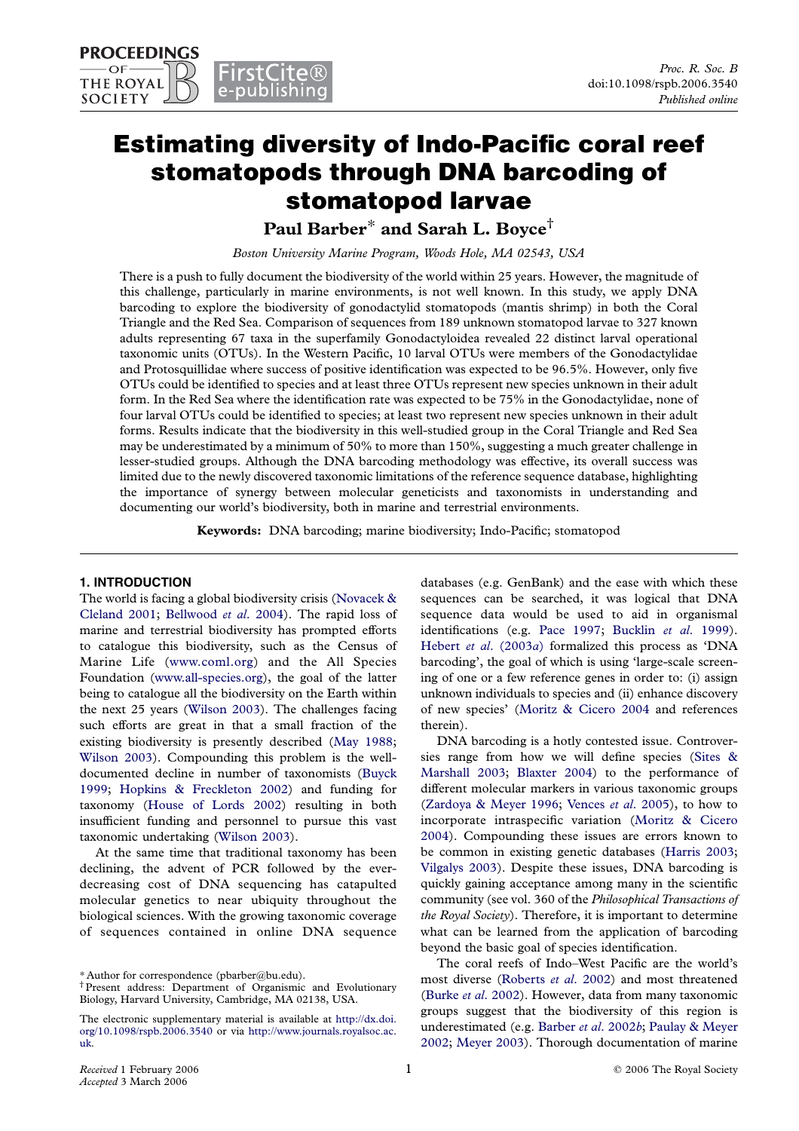# Estimating diversity of Indo-Pacific coral reef stomatopods through DNA barcoding of stomatopod larvae

Paul Barber\* and Sarah L. Boyce†

Boston University Marine Program, Woods Hole, MA 02543, USA

There is a push to fully document the biodiversity of the world within 25 years. However, the magnitude of this challenge, particularly in marine environments, is not well known. In this study, we apply DNA barcoding to explore the biodiversity of gonodactylid stomatopods (mantis shrimp) in both the Coral Triangle and the Red Sea. Comparison of sequences from 189 unknown stomatopod larvae to 327 known adults representing 67 taxa in the superfamily Gonodactyloidea revealed 22 distinct larval operational taxonomic units (OTUs). In the Western Pacific, 10 larval OTUs were members of the Gonodactylidae and Protosquillidae where success of positive identification was expected to be 96.5%. However, only five OTUs could be identified to species and at least three OTUs represent new species unknown in their adult form. In the Red Sea where the identification rate was expected to be 75% in the Gonodactylidae, none of four larval OTUs could be identified to species; at least two represent new species unknown in their adult forms. Results indicate that the biodiversity in this well-studied group in the Coral Triangle and Red Sea may be underestimated by a minimum of 50% to more than 150%, suggesting a much greater challenge in lesser-studied groups. Although the DNA barcoding methodology was effective, its overall success was limited due to the newly discovered taxonomic limitations of the reference sequence database, highlighting the importance of synergy between molecular geneticists and taxonomists in understanding and documenting our world's biodiversity, both in marine and terrestrial environments.

Keywords: DNA barcoding; marine biodiversity; Indo-Pacific; stomatopod

## 1. INTRODUCTION

The world is facing a global biodiversity crisis [\(Novacek &](#page-8-0) [Cleland 2001;](#page-8-0) [Bellwood](#page-7-0) et al. 2004). The rapid loss of marine and terrestrial biodiversity has prompted efforts to catalogue this biodiversity, such as the Census of Marine Life [\(www.coml.org\)](http://www.coml.org) and the All Species Foundation [\(www.all-species.org\)](http://www.all-species.org), the goal of the latter being to catalogue all the biodiversity on the Earth within the next 25 years [\(Wilson 2003\)](#page-8-0). The challenges facing such efforts are great in that a small fraction of the existing biodiversity is presently described [\(May 1988;](#page-8-0) [Wilson 2003\)](#page-8-0). Compounding this problem is the welldocumented decline in number of taxonomists ([Buyck](#page-7-0) [1999](#page-7-0); [Hopkins & Freckleton 2002\)](#page-8-0) and funding for taxonomy [\(House of Lords 2002\)](#page-8-0) resulting in both insufficient funding and personnel to pursue this vast taxonomic undertaking ([Wilson 2003\)](#page-8-0).

At the same time that traditional taxonomy has been declining, the advent of PCR followed by the everdecreasing cost of DNA sequencing has catapulted molecular genetics to near ubiquity throughout the biological sciences. With the growing taxonomic coverage of sequences contained in online DNA sequence databases (e.g. GenBank) and the ease with which these sequences can be searched, it was logical that DNA sequence data would be used to aid in organismal identifications (e.g. [Pace 1997;](#page-8-0) [Bucklin](#page-7-0) et al. 1999). Hebert et al[. \(2003](#page-8-0)a) formalized this process as 'DNA barcoding', the goal of which is using 'large-scale screening of one or a few reference genes in order to: (i) assign unknown individuals to species and (ii) enhance discovery of new species' ([Moritz & Cicero 2004](#page-8-0) and references therein).

DNA barcoding is a hotly contested issue. Controversies range from how we will define species [\(Sites &](#page-8-0) [Marshall 2003](#page-8-0); [Blaxter 2004](#page-7-0)) to the performance of different molecular markers in various taxonomic groups ([Zardoya & Meyer 1996](#page-8-0); [Vences](#page-8-0) et al. 2005), to how to incorporate intraspecific variation ([Moritz & Cicero](#page-8-0) [2004](#page-8-0)). Compounding these issues are errors known to be common in existing genetic databases [\(Harris 2003;](#page-7-0) [Vilgalys 2003](#page-8-0)). Despite these issues, DNA barcoding is quickly gaining acceptance among many in the scientific community (see vol. 360 of the Philosophical Transactions of the Royal Society). Therefore, it is important to determine what can be learned from the application of barcoding beyond the basic goal of species identification.

The coral reefs of Indo–West Pacific are the world's most diverse ([Roberts](#page-8-0) et al. 2002) and most threatened (Burke et al[. 2002\)](#page-7-0). However, data from many taxonomic groups suggest that the biodiversity of this region is underestimated (e.g. [Barber](#page-7-0) et al. 2002b; [Paulay & Meyer](#page-8-0) [2002](#page-8-0); [Meyer 2003](#page-8-0)). Thorough documentation of marine

<sup>\*</sup> Author for correspondence (pbarber@bu.edu).

<sup>†</sup>Present address: Department of Organismic and Evolutionary Biology, Harvard University, Cambridge, MA 02138, USA.

The electronic supplementary material is available at [http://dx.doi.](http://dx.doi.org/10.1098/rspb.2006.3540) [org/10.1098/rspb.2006.3540](http://dx.doi.org/10.1098/rspb.2006.3540) or via [http://www.journals.royalsoc.ac.](http://www.journals.royalsoc.ac.uk) [uk.](http://www.journals.royalsoc.ac.uk)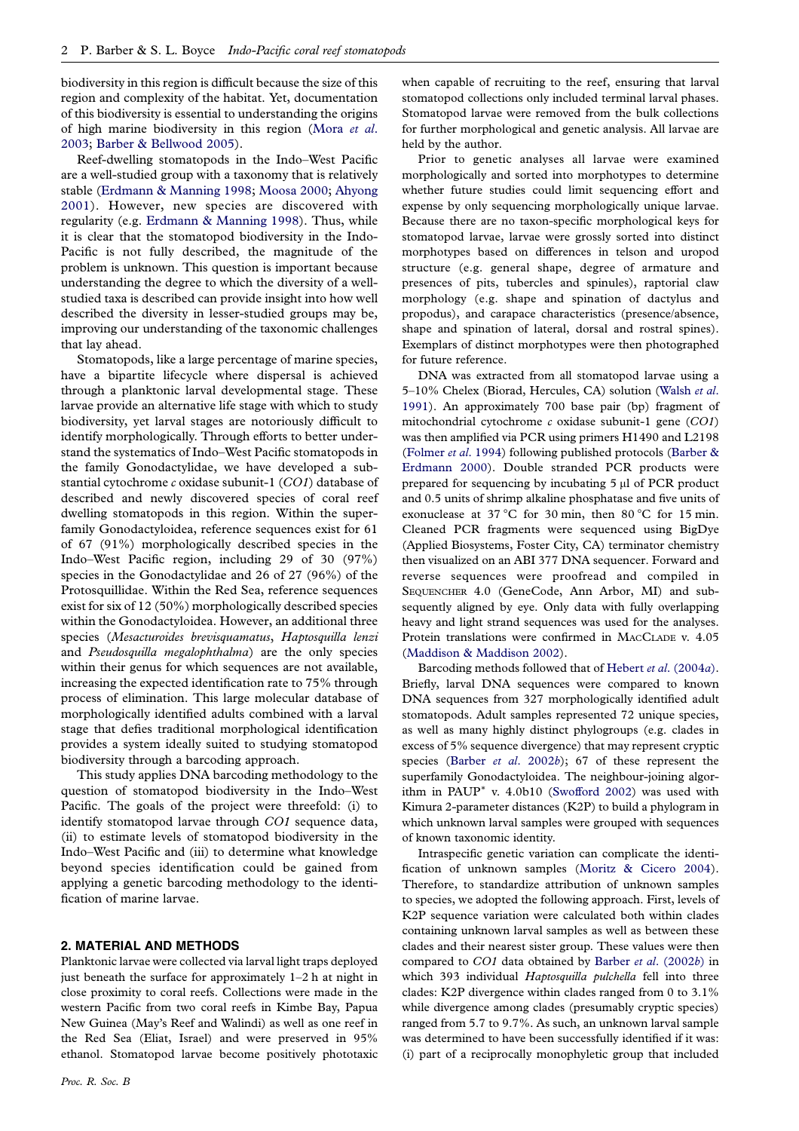biodiversity in this region is difficult because the size of this region and complexity of the habitat. Yet, documentation of this biodiversity is essential to understanding the origins of high marine biodiversity in this region ([Mora](#page-8-0) et al. [2003](#page-8-0); [Barber & Bellwood 2005\)](#page-7-0).

Reef-dwelling stomatopods in the Indo–West Pacific are a well-studied group with a taxonomy that is relatively stable [\(Erdmann & Manning 1998;](#page-7-0) [Moosa 2000](#page-8-0); [Ahyong](#page-7-0) [2001](#page-7-0)). However, new species are discovered with regularity (e.g. [Erdmann & Manning 1998\)](#page-7-0). Thus, while it is clear that the stomatopod biodiversity in the Indo-Pacific is not fully described, the magnitude of the problem is unknown. This question is important because understanding the degree to which the diversity of a wellstudied taxa is described can provide insight into how well described the diversity in lesser-studied groups may be, improving our understanding of the taxonomic challenges that lay ahead.

Stomatopods, like a large percentage of marine species, have a bipartite lifecycle where dispersal is achieved through a planktonic larval developmental stage. These larvae provide an alternative life stage with which to study biodiversity, yet larval stages are notoriously difficult to identify morphologically. Through efforts to better understand the systematics of Indo–West Pacific stomatopods in the family Gonodactylidae, we have developed a substantial cytochrome c oxidase subunit-1 (CO1) database of described and newly discovered species of coral reef dwelling stomatopods in this region. Within the superfamily Gonodactyloidea, reference sequences exist for 61 of 67 (91%) morphologically described species in the Indo–West Pacific region, including 29 of 30 (97%) species in the Gonodactylidae and 26 of 27 (96%) of the Protosquillidae. Within the Red Sea, reference sequences exist for six of 12 (50%) morphologically described species within the Gonodactyloidea. However, an additional three species (Mesacturoides brevisquamatus, Haptosquilla lenzi and Pseudosquilla megalophthalma) are the only species within their genus for which sequences are not available, increasing the expected identification rate to 75% through process of elimination. This large molecular database of morphologically identified adults combined with a larval stage that defies traditional morphological identification provides a system ideally suited to studying stomatopod biodiversity through a barcoding approach.

This study applies DNA barcoding methodology to the question of stomatopod biodiversity in the Indo–West Pacific. The goals of the project were threefold: (i) to identify stomatopod larvae through CO1 sequence data, (ii) to estimate levels of stomatopod biodiversity in the Indo–West Pacific and (iii) to determine what knowledge beyond species identification could be gained from applying a genetic barcoding methodology to the identification of marine larvae.

# 2. MATERIAL AND METHODS

Planktonic larvae were collected via larval light traps deployed just beneath the surface for approximately 1–2 h at night in close proximity to coral reefs. Collections were made in the western Pacific from two coral reefs in Kimbe Bay, Papua New Guinea (May's Reef and Walindi) as well as one reef in the Red Sea (Eliat, Israel) and were preserved in 95% ethanol. Stomatopod larvae become positively phototaxic

when capable of recruiting to the reef, ensuring that larval stomatopod collections only included terminal larval phases. Stomatopod larvae were removed from the bulk collections for further morphological and genetic analysis. All larvae are held by the author.

Prior to genetic analyses all larvae were examined morphologically and sorted into morphotypes to determine whether future studies could limit sequencing effort and expense by only sequencing morphologically unique larvae. Because there are no taxon-specific morphological keys for stomatopod larvae, larvae were grossly sorted into distinct morphotypes based on differences in telson and uropod structure (e.g. general shape, degree of armature and presences of pits, tubercles and spinules), raptorial claw morphology (e.g. shape and spination of dactylus and propodus), and carapace characteristics (presence/absence, shape and spination of lateral, dorsal and rostral spines). Exemplars of distinct morphotypes were then photographed for future reference.

DNA was extracted from all stomatopod larvae using a 5-10% Chelex (Biorad, Hercules, CA) solution [\(Walsh](#page-8-0) et al. [1991](#page-8-0)). An approximately 700 base pair (bp) fragment of mitochondrial cytochrome  $c$  oxidase subunit-1 gene  $(CO1)$ was then amplified via PCR using primers H1490 and L2198 ([Folmer](#page-7-0) et al. 1994) following published protocols ([Barber &](#page-7-0) [Erdmann 2000\)](#page-7-0). Double stranded PCR products were prepared for sequencing by incubating 5 *m*l of PCR product and 0.5 units of shrimp alkaline phosphatase and five units of exonuclease at 37 °C for 30 min, then 80 °C for 15 min. Cleaned PCR fragments were sequenced using BigDye (Applied Biosystems, Foster City, CA) terminator chemistry then visualized on an ABI 377 DNA sequencer. Forward and reverse sequences were proofread and compiled in SEQUENCHER 4.0 (GeneCode, Ann Arbor, MI) and subsequently aligned by eye. Only data with fully overlapping heavy and light strand sequences was used for the analyses. Protein translations were confirmed in MACCLADE v. 4.05 ([Maddison & Maddison 2002\)](#page-8-0).

Barcoding methods followed that of Hebert et al[. \(2004](#page-8-0)a). Briefly, larval DNA sequences were compared to known DNA sequences from 327 morphologically identified adult stomatopods. Adult samples represented 72 unique species, as well as many highly distinct phylogroups (e.g. clades in excess of 5% sequence divergence) that may represent cryptic species (Barber et al[. 2002](#page-7-0)b); 67 of these represent the superfamily Gonodactyloidea. The neighbour-joining algorithm in PAUP<sup>\*</sup> v.  $4.0b10$  [\(Swofford 2002](#page-8-0)) was used with Kimura 2-parameter distances (K2P) to build a phylogram in which unknown larval samples were grouped with sequences of known taxonomic identity.

Intraspecific genetic variation can complicate the identification of unknown samples ([Moritz & Cicero 2004](#page-8-0)). Therefore, to standardize attribution of unknown samples to species, we adopted the following approach. First, levels of K2P sequence variation were calculated both within clades containing unknown larval samples as well as between these clades and their nearest sister group. These values were then compared to CO1 data obtained by Barber et al[. \(2002](#page-7-0)b) in which 393 individual Haptosquilla pulchella fell into three clades: K2P divergence within clades ranged from 0 to 3.1% while divergence among clades (presumably cryptic species) ranged from 5.7 to 9.7%. As such, an unknown larval sample was determined to have been successfully identified if it was: (i) part of a reciprocally monophyletic group that included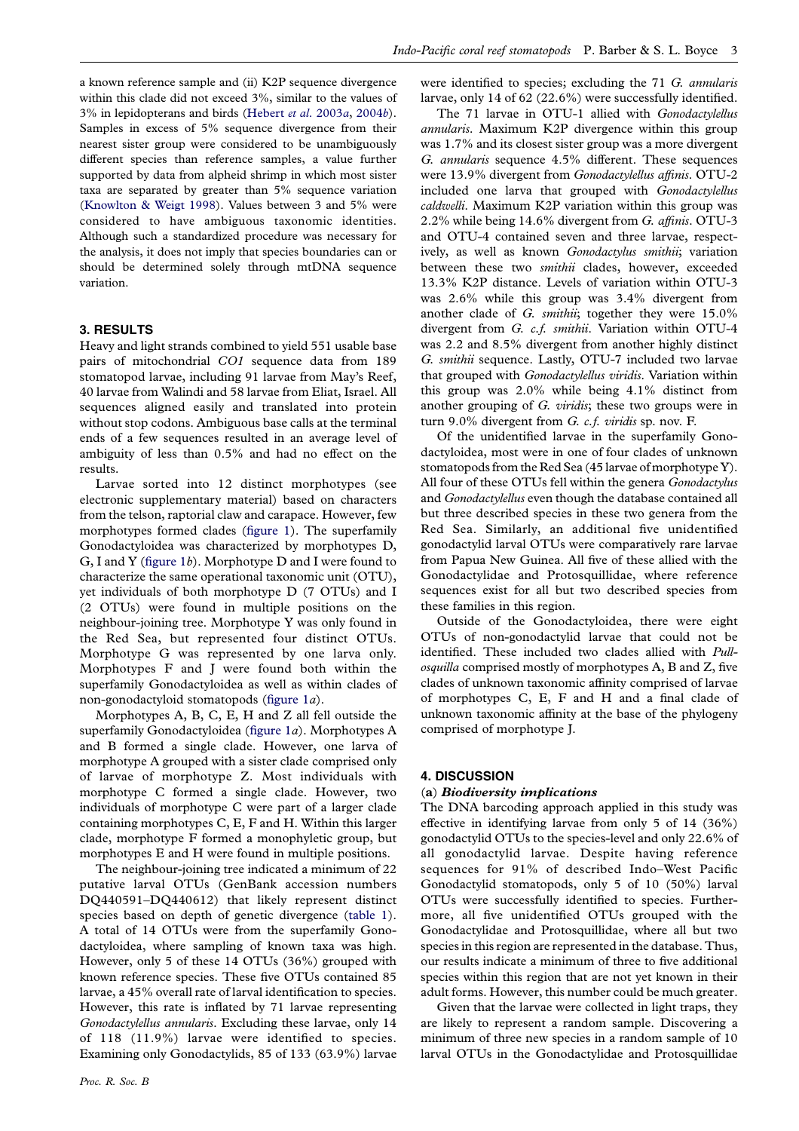a known reference sample and (ii) K2P sequence divergence within this clade did not exceed 3%, similar to the values of 3% in lepidopterans and birds ([Hebert](#page-8-0) et al. 2003a, [2004](#page-8-0)b). Samples in excess of 5% sequence divergence from their nearest sister group were considered to be unambiguously different species than reference samples, a value further supported by data from alpheid shrimp in which most sister taxa are separated by greater than 5% sequence variation ([Knowlton & Weigt 1998\)](#page-8-0). Values between 3 and 5% were considered to have ambiguous taxonomic identities. Although such a standardized procedure was necessary for the analysis, it does not imply that species boundaries can or should be determined solely through mtDNA sequence variation.

### 3. RESULTS

Heavy and light strands combined to yield 551 usable base pairs of mitochondrial CO1 sequence data from 189 stomatopod larvae, including 91 larvae from May's Reef, 40 larvae from Walindi and 58 larvae from Eliat, Israel. All sequences aligned easily and translated into protein without stop codons. Ambiguous base calls at the terminal ends of a few sequences resulted in an average level of ambiguity of less than 0.5% and had no effect on the results.

Larvae sorted into 12 distinct morphotypes (see electronic supplementary material) based on characters from the telson, raptorial claw and carapace. However, few morphotypes formed clades ([figure 1](#page-3-0)). The superfamily Gonodactyloidea was characterized by morphotypes D, G, I and Y [\(figure 1](#page-3-0)b). Morphotype D and I were found to characterize the same operational taxonomic unit (OTU), yet individuals of both morphotype D (7 OTUs) and I (2 OTUs) were found in multiple positions on the neighbour-joining tree. Morphotype Y was only found in the Red Sea, but represented four distinct OTUs. Morphotype G was represented by one larva only. Morphotypes F and J were found both within the superfamily Gonodactyloidea as well as within clades of non-gonodactyloid stomatopods ([figure 1](#page-3-0)a).

Morphotypes A, B, C, E, H and Z all fell outside the superfamily Gonodactyloidea ([figure 1](#page-3-0)a). Morphotypes A and B formed a single clade. However, one larva of morphotype A grouped with a sister clade comprised only of larvae of morphotype Z. Most individuals with morphotype C formed a single clade. However, two individuals of morphotype C were part of a larger clade containing morphotypes C, E, F and H. Within this larger clade, morphotype F formed a monophyletic group, but morphotypes E and H were found in multiple positions.

The neighbour-joining tree indicated a minimum of 22 putative larval OTUs (GenBank accession numbers DQ440591–DQ440612) that likely represent distinct species based on depth of genetic divergence ([table 1\)](#page-5-0). A total of 14 OTUs were from the superfamily Gonodactyloidea, where sampling of known taxa was high. However, only 5 of these 14 OTUs (36%) grouped with known reference species. These five OTUs contained 85 larvae, a 45% overall rate of larval identification to species. However, this rate is inflated by 71 larvae representing Gonodactylellus annularis. Excluding these larvae, only 14 of 118 (11.9%) larvae were identified to species. Examining only Gonodactylids, 85 of 133 (63.9%) larvae were identified to species; excluding the 71 G. annularis larvae, only 14 of 62 (22.6%) were successfully identified.

The 71 larvae in OTU-1 allied with Gonodactylellus annularis. Maximum K2P divergence within this group was 1.7% and its closest sister group was a more divergent G. annularis sequence 4.5% different. These sequences were 13.9% divergent from Gonodactylellus affinis. OTU-2 included one larva that grouped with Gonodactylellus caldwelli. Maximum K2P variation within this group was 2.2% while being 14.6% divergent from G. affinis. OTU-3 and OTU-4 contained seven and three larvae, respectively, as well as known Gonodactylus smithii; variation between these two smithii clades, however, exceeded 13.3% K2P distance. Levels of variation within OTU-3 was 2.6% while this group was 3.4% divergent from another clade of G. smithii; together they were 15.0% divergent from G. c.f. smithii. Variation within OTU-4 was 2.2 and 8.5% divergent from another highly distinct G. smithii sequence. Lastly, OTU-7 included two larvae that grouped with *Gonodactylellus viridis*. Variation within this group was 2.0% while being 4.1% distinct from another grouping of G. viridis; these two groups were in turn 9.0% divergent from G. c.f. viridis sp. nov. F.

Of the unidentified larvae in the superfamily Gonodactyloidea, most were in one of four clades of unknown stomatopods from the Red Sea (45 larvae of morphotype Y). All four of these OTUs fell within the genera Gonodactylus and Gonodactylellus even though the database contained all but three described species in these two genera from the Red Sea. Similarly, an additional five unidentified gonodactylid larval OTUs were comparatively rare larvae from Papua New Guinea. All five of these allied with the Gonodactylidae and Protosquillidae, where reference sequences exist for all but two described species from these families in this region.

Outside of the Gonodactyloidea, there were eight OTUs of non-gonodactylid larvae that could not be identified. These included two clades allied with Pullosquilla comprised mostly of morphotypes A, B and Z, five clades of unknown taxonomic affinity comprised of larvae of morphotypes C, E, F and H and a final clade of unknown taxonomic affinity at the base of the phylogeny comprised of morphotype J.

#### 4. DISCUSSION

#### (a) Biodiversity implications

The DNA barcoding approach applied in this study was effective in identifying larvae from only 5 of 14 (36%) gonodactylid OTUs to the species-level and only 22.6% of all gonodactylid larvae. Despite having reference sequences for 91% of described Indo–West Pacific Gonodactylid stomatopods, only 5 of 10 (50%) larval OTUs were successfully identified to species. Furthermore, all five unidentified OTUs grouped with the Gonodactylidae and Protosquillidae, where all but two species in this region are represented in the database. Thus, our results indicate a minimum of three to five additional species within this region that are not yet known in their adult forms. However, this number could be much greater.

Given that the larvae were collected in light traps, they are likely to represent a random sample. Discovering a minimum of three new species in a random sample of 10 larval OTUs in the Gonodactylidae and Protosquillidae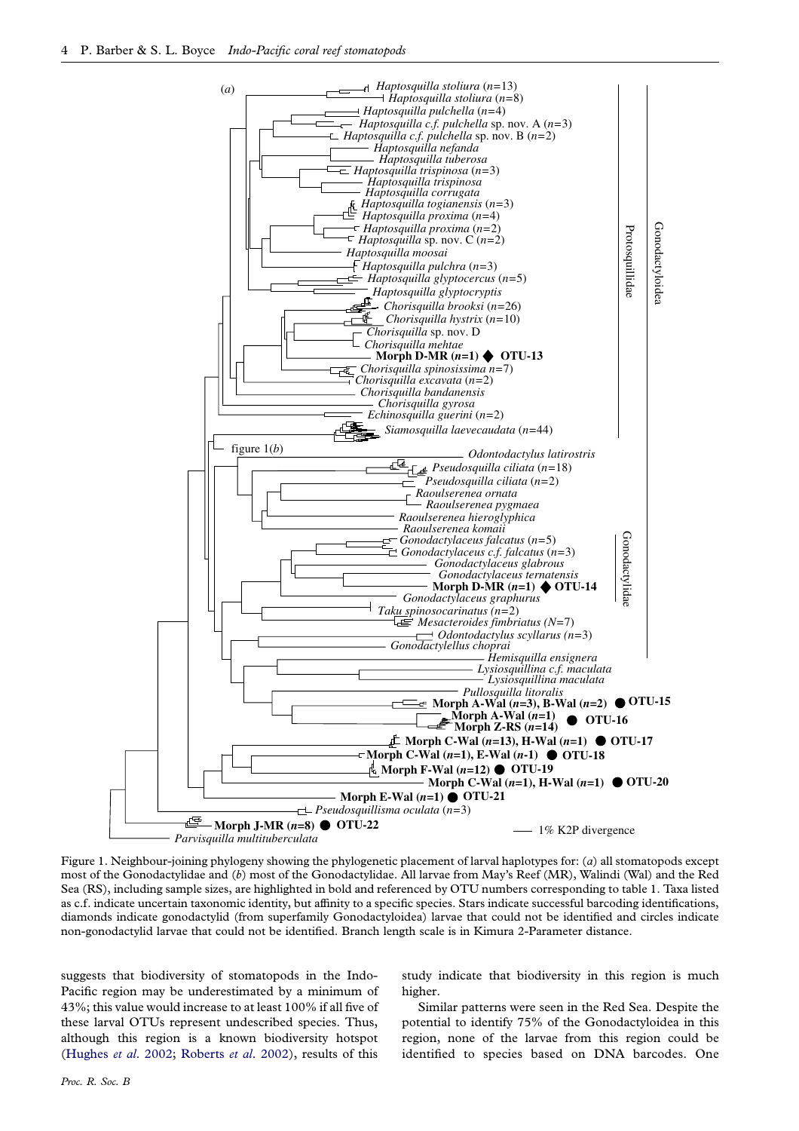<span id="page-3-0"></span>

Figure 1. Neighbour-joining phylogeny showing the phylogenetic placement of larval haplotypes for: (a) all stomatopods except most of the Gonodactylidae and (b) most of the Gonodactylidae. All larvae from May's Reef (MR), Walindi (Wal) and the Red Sea (RS), including sample sizes, are highlighted in bold and referenced by OTU numbers corresponding to table 1. Taxa listed as c.f. indicate uncertain taxonomic identity, but affinity to a specific species. Stars indicate successful barcoding identifications, diamonds indicate gonodactylid (from superfamily Gonodactyloidea) larvae that could not be identified and circles indicate non-gonodactylid larvae that could not be identified. Branch length scale is in Kimura 2-Parameter distance.

suggests that biodiversity of stomatopods in the Indo-Pacific region may be underestimated by a minimum of 43%; this value would increase to at least 100% if all five of these larval OTUs represent undescribed species. Thus, although this region is a known biodiversity hotspot ([Hughes](#page-8-0) et al. 2002; [Roberts](#page-8-0) et al. 2002), results of this

study indicate that biodiversity in this region is much higher.

Similar patterns were seen in the Red Sea. Despite the potential to identify 75% of the Gonodactyloidea in this region, none of the larvae from this region could be identified to species based on DNA barcodes. One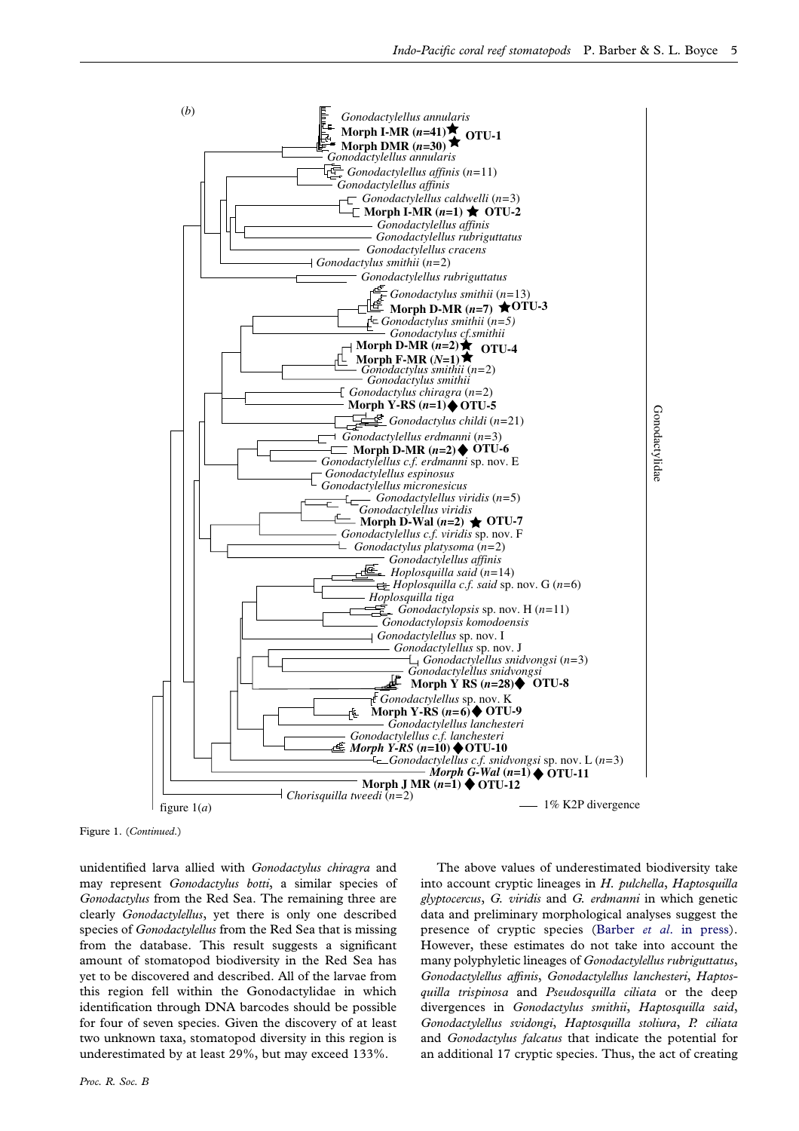

Figure 1. (Continued.)

unidentified larva allied with Gonodactylus chiragra and may represent Gonodactylus botti, a similar species of Gonodactylus from the Red Sea. The remaining three are clearly Gonodactylellus, yet there is only one described species of *Gonodactylellus* from the Red Sea that is missing from the database. This result suggests a significant amount of stomatopod biodiversity in the Red Sea has yet to be discovered and described. All of the larvae from this region fell within the Gonodactylidae in which identification through DNA barcodes should be possible for four of seven species. Given the discovery of at least two unknown taxa, stomatopod diversity in this region is underestimated by at least 29%, but may exceed 133%.

The above values of underestimated biodiversity take into account cryptic lineages in H. pulchella, Haptosquilla glyptocercus, G. viridis and G. erdmanni in which genetic data and preliminary morphological analyses suggest the presence of cryptic species (Barber et al[. in press\)](#page-7-0). However, these estimates do not take into account the many polyphyletic lineages of Gonodactylellus rubriguttatus, Gonodactylellus affinis, Gonodactylellus lanchesteri, Haptosquilla trispinosa and Pseudosquilla ciliata or the deep divergences in Gonodactylus smithii, Haptosquilla said, Gonodactylellus svidongi, Haptosquilla stoliura, P. ciliata and Gonodactylus falcatus that indicate the potential for an additional 17 cryptic species. Thus, the act of creating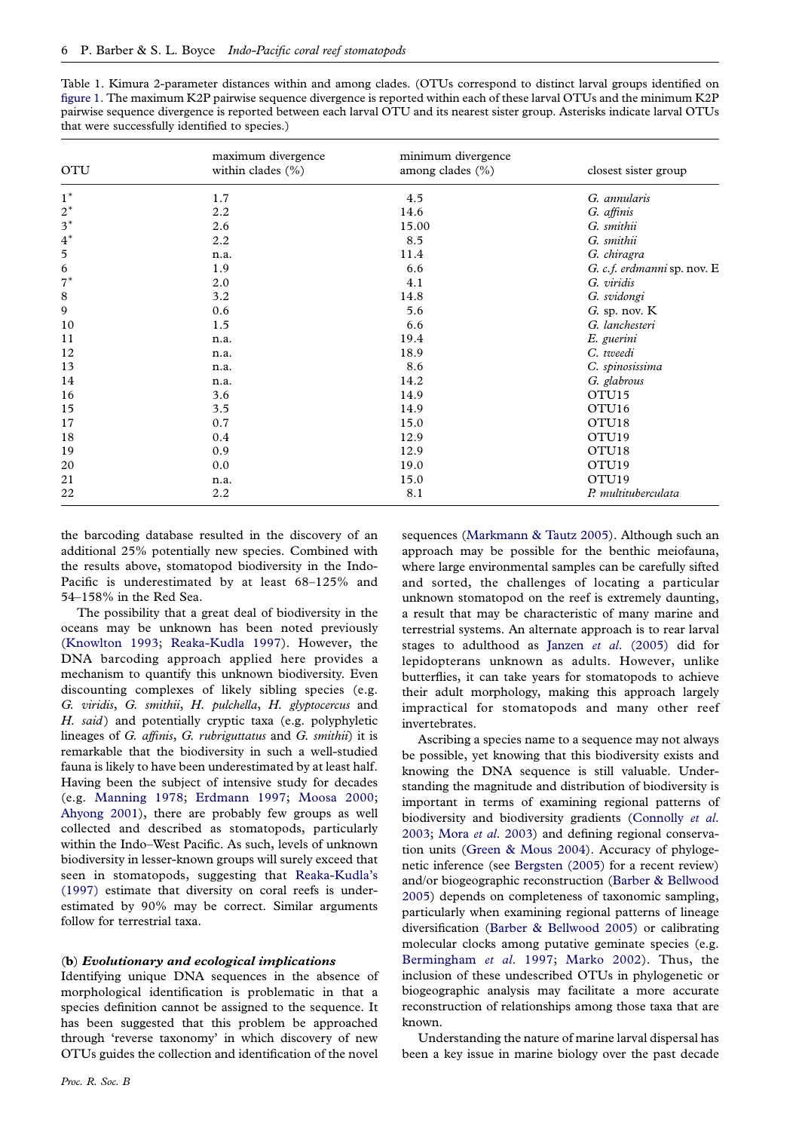<span id="page-5-0"></span>

| Table 1. Kimura 2-parameter distances within and among clades. (OTUs correspond to distinct larval groups identified on       |
|-------------------------------------------------------------------------------------------------------------------------------|
| figure 1. The maximum K2P pairwise sequence divergence is reported within each of these larval OTUs and the minimum K2P       |
| pairwise sequence divergence is reported between each larval OTU and its nearest sister group. Asterisks indicate larval OTUs |
| that were successfully identified to species.)                                                                                |

| <b>OTU</b> | maximum divergence<br>within clades $(\% )$ | minimum divergence<br>among clades (%) | closest sister group        |
|------------|---------------------------------------------|----------------------------------------|-----------------------------|
| $1^*$      | 1.7                                         | 4.5                                    | G. annularis                |
| $2^*$      | 2.2                                         | 14.6                                   | G. affinis                  |
| $3^*$      | 2.6                                         | 15.00                                  | G. smithii                  |
| $4^*$      | 2.2                                         | 8.5                                    | G. smithii                  |
| 5          | n.a.                                        | 11.4                                   | G. chiragra                 |
| 6          | 1.9                                         | 6.6                                    | G. c.f. erdmanni sp. nov. E |
| $7^*$      | 2.0                                         | 4.1                                    | G. viridis                  |
| 8          | 3.2                                         | 14.8                                   | G. svidongi                 |
| 9          | 0.6                                         | 5.6                                    | $G.$ sp. nov. $K$           |
| 10         | 1.5                                         | 6.6                                    | G. lanchesteri              |
| 11         | n.a.                                        | 19.4                                   | E. guerini                  |
| 12         | n.a.                                        | 18.9                                   | C. tweedi                   |
| 13         | n.a.                                        | 8.6                                    | C. spinosissima             |
| 14         | n.a.                                        | 14.2                                   | G. glabrous                 |
| 16         | 3.6                                         | 14.9                                   | OTU <sub>15</sub>           |
| 15         | 3.5                                         | 14.9                                   | OTU <sub>16</sub>           |
| 17         | 0.7                                         | 15.0                                   | OTU <sub>18</sub>           |
| 18         | 0.4                                         | 12.9                                   | OTU <sub>19</sub>           |
| 19         | 0.9                                         | 12.9                                   | OTU <sub>18</sub>           |
| 20         | 0.0                                         | 19.0                                   | OTU <sub>19</sub>           |
| 21         | n.a.                                        | 15.0                                   | OTU <sub>19</sub>           |
| 22         | 2.2                                         | 8.1                                    | P. multituberculata         |

the barcoding database resulted in the discovery of an additional 25% potentially new species. Combined with the results above, stomatopod biodiversity in the Indo-Pacific is underestimated by at least 68–125% and 54–158% in the Red Sea.

The possibility that a great deal of biodiversity in the oceans may be unknown has been noted previously ([Knowlton 1993](#page-8-0); [Reaka-Kudla 1997](#page-8-0)). However, the DNA barcoding approach applied here provides a mechanism to quantify this unknown biodiversity. Even discounting complexes of likely sibling species (e.g. G. viridis, G. smithii, H. pulchella, H. glyptocercus and H. said) and potentially cryptic taxa (e.g. polyphyletic lineages of G. affinis, G. rubriguttatus and G. smithii) it is remarkable that the biodiversity in such a well-studied fauna is likely to have been underestimated by at least half. Having been the subject of intensive study for decades (e.g. [Manning 1978;](#page-8-0) [Erdmann 1997](#page-7-0); [Moosa 2000;](#page-8-0) [Ahyong 2001](#page-7-0)), there are probably few groups as well collected and described as stomatopods, particularly within the Indo–West Pacific. As such, levels of unknown biodiversity in lesser-known groups will surely exceed that seen in stomatopods, suggesting that [Reaka-Kudla's](#page-8-0) [\(1997\)](#page-8-0) estimate that diversity on coral reefs is underestimated by 90% may be correct. Similar arguments follow for terrestrial taxa.

#### (b) Evolutionary and ecological implications

Identifying unique DNA sequences in the absence of morphological identification is problematic in that a species definition cannot be assigned to the sequence. It has been suggested that this problem be approached through 'reverse taxonomy' in which discovery of new OTUs guides the collection and identification of the novel

sequences [\(Markmann & Tautz 2005](#page-8-0)). Although such an approach may be possible for the benthic meiofauna, where large environmental samples can be carefully sifted and sorted, the challenges of locating a particular unknown stomatopod on the reef is extremely daunting, a result that may be characteristic of many marine and terrestrial systems. An alternate approach is to rear larval stages to adulthood as Janzen et al[. \(2005\)](#page-8-0) did for lepidopterans unknown as adults. However, unlike butterflies, it can take years for stomatopods to achieve their adult morphology, making this approach largely impractical for stomatopods and many other reef invertebrates.

Ascribing a species name to a sequence may not always be possible, yet knowing that this biodiversity exists and knowing the DNA sequence is still valuable. Understanding the magnitude and distribution of biodiversity is important in terms of examining regional patterns of biodiversity and biodiversity gradients [\(Connolly](#page-7-0) et al. [2003](#page-7-0); Mora et al[. 2003\)](#page-8-0) and defining regional conservation units [\(Green & Mous 2004](#page-7-0)). Accuracy of phylogenetic inference (see [Bergsten \(2005\)](#page-7-0) for a recent review) and/or biogeographic reconstruction [\(Barber & Bellwood](#page-7-0) [2005](#page-7-0)) depends on completeness of taxonomic sampling, particularly when examining regional patterns of lineage diversification ([Barber & Bellwood 2005](#page-7-0)) or calibrating molecular clocks among putative geminate species (e.g. [Bermingham](#page-7-0) et al. 1997; [Marko 2002\)](#page-8-0). Thus, the inclusion of these undescribed OTUs in phylogenetic or biogeographic analysis may facilitate a more accurate reconstruction of relationships among those taxa that are known.

Understanding the nature of marine larval dispersal has been a key issue in marine biology over the past decade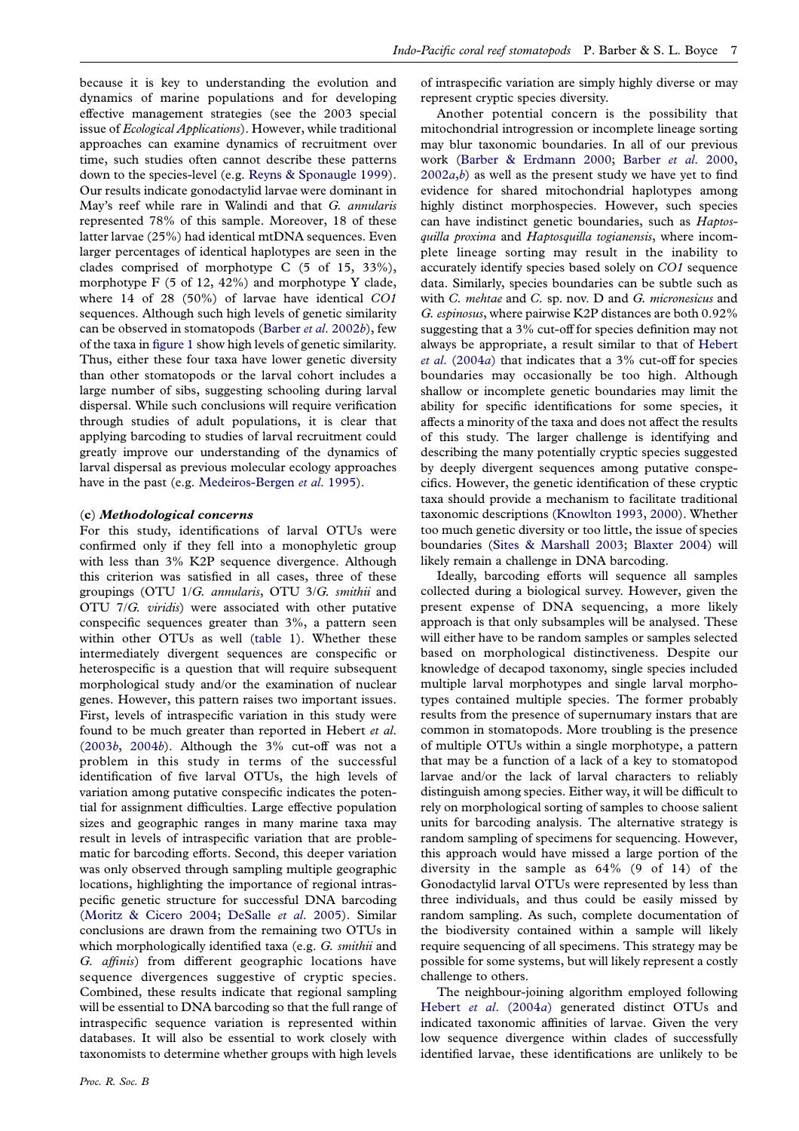because it is key to understanding the evolution and dynamics of marine populations and for developing effective management strategies (see the 2003 special issue of Ecological Applications). However, while traditional approaches can examine dynamics of recruitment over time, such studies often cannot describe these patterns down to the species-level (e.g. [Reyns & Sponaugle 1999\)](#page-8-0). Our results indicate gonodactylid larvae were dominant in May's reef while rare in Walindi and that G. annularis represented 78% of this sample. Moreover, 18 of these latter larvae (25%) had identical mtDNA sequences. Even larger percentages of identical haplotypes are seen in the clades comprised of morphotype C (5 of 15, 33%), morphotype  $F(5 \text{ of } 12, 42\%)$  and morphotype Y clade, where 14 of 28 (50%) of larvae have identical CO1 sequences. Although such high levels of genetic similarity can be observed in stomatopods ([Barber](#page-7-0) et al. 2002b), few of the taxa in [figure 1](#page-3-0) show high levels of genetic similarity. Thus, either these four taxa have lower genetic diversity than other stomatopods or the larval cohort includes a large number of sibs, suggesting schooling during larval dispersal. While such conclusions will require verification through studies of adult populations, it is clear that applying barcoding to studies of larval recruitment could greatly improve our understanding of the dynamics of larval dispersal as previous molecular ecology approaches have in the past (e.g. [Medeiros-Bergen](#page-8-0) et al. 1995).

#### (c) Methodological concerns

For this study, identifications of larval OTUs were confirmed only if they fell into a monophyletic group with less than 3% K2P sequence divergence. Although this criterion was satisfied in all cases, three of these groupings (OTU 1/G. annularis, OTU 3/G. smithii and OTU 7/G. viridis) were associated with other putative conspecific sequences greater than 3%, a pattern seen within other OTUs as well ([table 1\)](#page-5-0). Whether these intermediately divergent sequences are conspecific or heterospecific is a question that will require subsequent morphological study and/or the examination of nuclear genes. However, this pattern raises two important issues. First, levels of intraspecific variation in this study were found to be much greater than reported in Hebert et al.  $(2003b, 2004b)$  $(2003b, 2004b)$  $(2003b, 2004b)$  $(2003b, 2004b)$  $(2003b, 2004b)$ . Although the  $3\%$  cut-off was not a problem in this study in terms of the successful identification of five larval OTUs, the high levels of variation among putative conspecific indicates the potential for assignment difficulties. Large effective population sizes and geographic ranges in many marine taxa may result in levels of intraspecific variation that are problematic for barcoding efforts. Second, this deeper variation was only observed through sampling multiple geographic locations, highlighting the importance of regional intraspecific genetic structure for successful DNA barcoding ([Moritz & Cicero 2004;](#page-8-0) [DeSalle](#page-7-0) et al. 2005). Similar conclusions are drawn from the remaining two OTUs in which morphologically identified taxa (e.g. G. smithii and G. affinis) from different geographic locations have sequence divergences suggestive of cryptic species. Combined, these results indicate that regional sampling will be essential to DNA barcoding so that the full range of intraspecific sequence variation is represented within databases. It will also be essential to work closely with taxonomists to determine whether groups with high levels

of intraspecific variation are simply highly diverse or may represent cryptic species diversity.

Another potential concern is the possibility that mitochondrial introgression or incomplete lineage sorting may blur taxonomic boundaries. In all of our previous work [\(Barber & Erdmann 2000](#page-7-0); Barber et al[. 2000,](#page-7-0)  $2002a,b$  $2002a,b$  $2002a,b$ ) as well as the present study we have yet to find evidence for shared mitochondrial haplotypes among highly distinct morphospecies. However, such species can have indistinct genetic boundaries, such as Haptosquilla proxima and Haptosquilla togianensis, where incomplete lineage sorting may result in the inability to accurately identify species based solely on CO1 sequence data. Similarly, species boundaries can be subtle such as with C. mehtae and C. sp. nov. D and G. micronesicus and G. espinosus, where pairwise K2P distances are both 0.92% suggesting that a 3% cut-off for species definition may not always be appropriate, a result similar to that of [Hebert](#page-8-0) et al[. \(2004](#page-8-0)a) that indicates that a 3% cut-off for species boundaries may occasionally be too high. Although shallow or incomplete genetic boundaries may limit the ability for specific identifications for some species, it affects a minority of the taxa and does not affect the results of this study. The larger challenge is identifying and describing the many potentially cryptic species suggested by deeply divergent sequences among putative conspecifics. However, the genetic identification of these cryptic taxa should provide a mechanism to facilitate traditional taxonomic descriptions ([Knowlton 1993,](#page-8-0) [2000](#page-8-0)). Whether too much genetic diversity or too little, the issue of species boundaries [\(Sites & Marshall 2003;](#page-8-0) [Blaxter 2004\)](#page-7-0) will likely remain a challenge in DNA barcoding.

Ideally, barcoding efforts will sequence all samples collected during a biological survey. However, given the present expense of DNA sequencing, a more likely approach is that only subsamples will be analysed. These will either have to be random samples or samples selected based on morphological distinctiveness. Despite our knowledge of decapod taxonomy, single species included multiple larval morphotypes and single larval morphotypes contained multiple species. The former probably results from the presence of supernumary instars that are common in stomatopods. More troubling is the presence of multiple OTUs within a single morphotype, a pattern that may be a function of a lack of a key to stomatopod larvae and/or the lack of larval characters to reliably distinguish among species. Either way, it will be difficult to rely on morphological sorting of samples to choose salient units for barcoding analysis. The alternative strategy is random sampling of specimens for sequencing. However, this approach would have missed a large portion of the diversity in the sample as 64% (9 of 14) of the Gonodactylid larval OTUs were represented by less than three individuals, and thus could be easily missed by random sampling. As such, complete documentation of the biodiversity contained within a sample will likely require sequencing of all specimens. This strategy may be possible for some systems, but will likely represent a costly challenge to others.

The neighbour-joining algorithm employed following Hebert et al[. \(2004](#page-8-0)a) generated distinct OTUs and indicated taxonomic affinities of larvae. Given the very low sequence divergence within clades of successfully identified larvae, these identifications are unlikely to be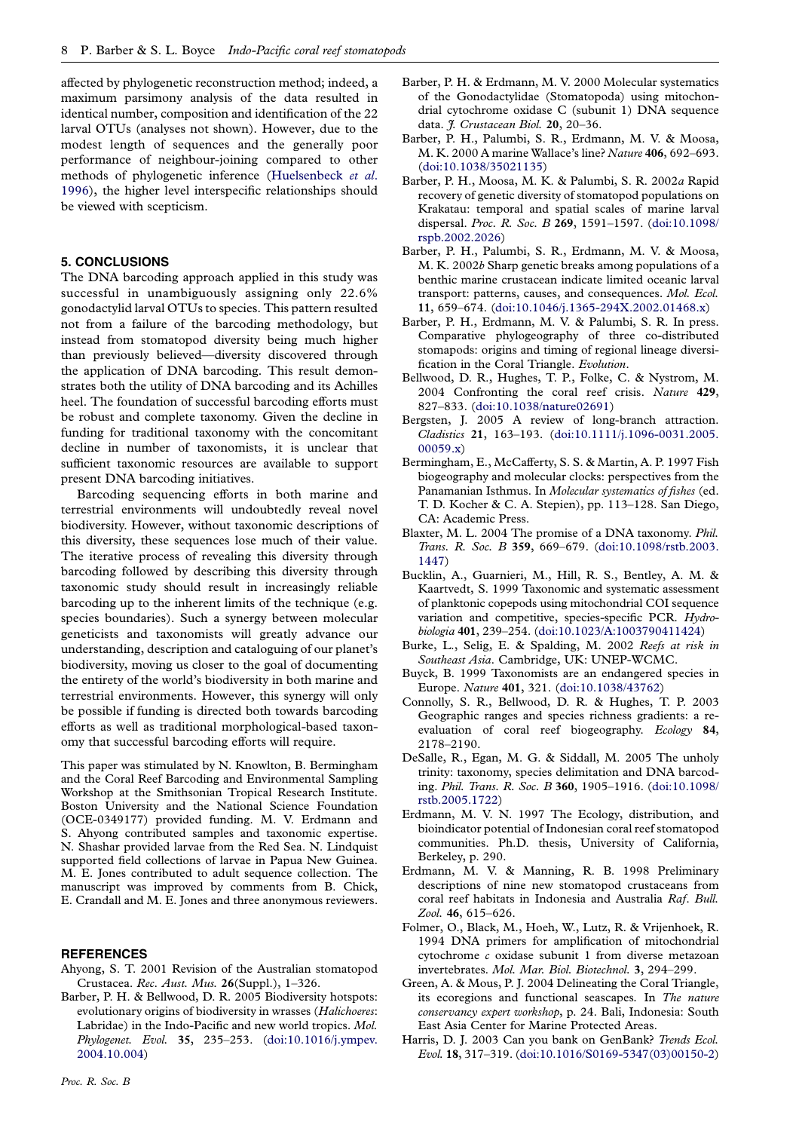<span id="page-7-0"></span>affected by phylogenetic reconstruction method; indeed, a maximum parsimony analysis of the data resulted in identical number, composition and identification of the 22 larval OTUs (analyses not shown). However, due to the modest length of sequences and the generally poor performance of neighbour-joining compared to other methods of phylogenetic inference ([Huelsenbeck](#page-8-0) et al. [1996](#page-8-0)), the higher level interspecific relationships should be viewed with scepticism.

# 5. CONCLUSIONS

The DNA barcoding approach applied in this study was successful in unambiguously assigning only 22.6% gonodactylid larval OTUs to species. This pattern resulted not from a failure of the barcoding methodology, but instead from stomatopod diversity being much higher than previously believed—diversity discovered through the application of DNA barcoding. This result demonstrates both the utility of DNA barcoding and its Achilles heel. The foundation of successful barcoding efforts must be robust and complete taxonomy. Given the decline in funding for traditional taxonomy with the concomitant decline in number of taxonomists, it is unclear that sufficient taxonomic resources are available to support present DNA barcoding initiatives.

Barcoding sequencing efforts in both marine and terrestrial environments will undoubtedly reveal novel biodiversity. However, without taxonomic descriptions of this diversity, these sequences lose much of their value. The iterative process of revealing this diversity through barcoding followed by describing this diversity through taxonomic study should result in increasingly reliable barcoding up to the inherent limits of the technique (e.g. species boundaries). Such a synergy between molecular geneticists and taxonomists will greatly advance our understanding, description and cataloguing of our planet's biodiversity, moving us closer to the goal of documenting the entirety of the world's biodiversity in both marine and terrestrial environments. However, this synergy will only be possible if funding is directed both towards barcoding efforts as well as traditional morphological-based taxonomy that successful barcoding efforts will require.

This paper was stimulated by N. Knowlton, B. Bermingham and the Coral Reef Barcoding and Environmental Sampling Workshop at the Smithsonian Tropical Research Institute. Boston University and the National Science Foundation (OCE-0349177) provided funding. M. V. Erdmann and S. Ahyong contributed samples and taxonomic expertise. N. Shashar provided larvae from the Red Sea. N. Lindquist supported field collections of larvae in Papua New Guinea. M. E. Jones contributed to adult sequence collection. The manuscript was improved by comments from B. Chick, E. Crandall and M. E. Jones and three anonymous reviewers.

#### **REFERENCES**

- Ahyong, S. T. 2001 Revision of the Australian stomatopod Crustacea. Rec. Aust. Mus. 26(Suppl.), 1–326.
- Barber, P. H. & Bellwood, D. R. 2005 Biodiversity hotspots: evolutionary origins of biodiversity in wrasses (Halichoeres: Labridae) in the Indo-Pacific and new world tropics. Mol. Phylogenet. Evol. 35, 235-253. [\(doi:10.1016/j.ympev.](http://dx.doi.org/doi:10.1016/j.ympev.2004.10.004) [2004.10.004](http://dx.doi.org/doi:10.1016/j.ympev.2004.10.004))
- Barber, P. H. & Erdmann, M. V. 2000 Molecular systematics of the Gonodactylidae (Stomatopoda) using mitochondrial cytochrome oxidase C (subunit 1) DNA sequence data. *J. Crustacean Biol.* 20, 20-36.
- Barber, P. H., Palumbi, S. R., Erdmann, M. V. & Moosa, M. K. 2000 A marine Wallace's line? Nature 406, 692–693. ([doi:10.1038/35021135](http://dx.doi.org/doi:10.1038/35021135))
- Barber, P. H., Moosa, M. K. & Palumbi, S. R. 2002a Rapid recovery of genetic diversity of stomatopod populations on Krakatau: temporal and spatial scales of marine larval dispersal. Proc. R. Soc. B 269, 1591–1597. ([doi:10.1098/](http://dx.doi.org/doi:10.1098/rspb.2002.2026) [rspb.2002.2026\)](http://dx.doi.org/doi:10.1098/rspb.2002.2026)
- Barber, P. H., Palumbi, S. R., Erdmann, M. V. & Moosa, M. K. 2002b Sharp genetic breaks among populations of a benthic marine crustacean indicate limited oceanic larval transport: patterns, causes, and consequences. Mol. Ecol. 11, 659–674. ([doi:10.1046/j.1365-294X.2002.01468.x](http://dx.doi.org/doi:10.1046/j.1365-294X.2002.01468.x))
- Barber, P. H., Erdmann, M. V. & Palumbi, S. R. In press. Comparative phylogeography of three co-distributed stomapods: origins and timing of regional lineage diversification in the Coral Triangle. Evolution.
- Bellwood, D. R., Hughes, T. P., Folke, C. & Nystrom, M. 2004 Confronting the coral reef crisis. Nature 429, 827–833. [\(doi:10.1038/nature02691\)](http://dx.doi.org/doi:10.1038/nature02691)
- Bergsten, J. 2005 A review of long-branch attraction. Cladistics 21, 163–193. ([doi:10.1111/j.1096-0031.2005.](http://dx.doi.org/doi:10.1111/j.1096-0031.2005.00059.x) [00059.x](http://dx.doi.org/doi:10.1111/j.1096-0031.2005.00059.x))
- Bermingham, E., McCafferty, S. S. & Martin, A. P. 1997 Fish biogeography and molecular clocks: perspectives from the Panamanian Isthmus. In Molecular systematics of fishes (ed. T. D. Kocher & C. A. Stepien), pp. 113–128. San Diego, CA: Academic Press.
- Blaxter, M. L. 2004 The promise of a DNA taxonomy. Phil. Trans. R. Soc. B 359, 669–679. ([doi:10.1098/rstb.2003.](http://dx.doi.org/doi:10.1098/rstb.2003.1447) [1447](http://dx.doi.org/doi:10.1098/rstb.2003.1447))
- Bucklin, A., Guarnieri, M., Hill, R. S., Bentley, A. M. & Kaartvedt, S. 1999 Taxonomic and systematic assessment of planktonic copepods using mitochondrial COI sequence variation and competitive, species-specific PCR. Hydrobiologia 401, 239–254. [\(doi:10.1023/A:1003790411424\)](http://dx.doi.org/doi:10.1023/A:1003790411424)
- Burke, L., Selig, E. & Spalding, M. 2002 Reefs at risk in Southeast Asia. Cambridge, UK: UNEP-WCMC.
- Buyck, B. 1999 Taxonomists are an endangered species in Europe. Nature 401, 321. ([doi:10.1038/43762](http://dx.doi.org/doi:10.1038/43762))
- Connolly, S. R., Bellwood, D. R. & Hughes, T. P. 2003 Geographic ranges and species richness gradients: a reevaluation of coral reef biogeography. Ecology 84, 2178–2190.
- DeSalle, R., Egan, M. G. & Siddall, M. 2005 The unholy trinity: taxonomy, species delimitation and DNA barcoding. Phil. Trans. R. Soc. B 360, 1905–1916. ([doi:10.1098/](http://dx.doi.org/doi:10.1098/rstb.2005.1722) [rstb.2005.1722\)](http://dx.doi.org/doi:10.1098/rstb.2005.1722)
- Erdmann, M. V. N. 1997 The Ecology, distribution, and bioindicator potential of Indonesian coral reef stomatopod communities. Ph.D. thesis, University of California, Berkeley, p. 290.
- Erdmann, M. V. & Manning, R. B. 1998 Preliminary descriptions of nine new stomatopod crustaceans from coral reef habitats in Indonesia and Australia Raf. Bull. Zool. 46, 615–626.
- Folmer, O., Black, M., Hoeh, W., Lutz, R. & Vrijenhoek, R. 1994 DNA primers for amplification of mitochondrial cytochrome c oxidase subunit 1 from diverse metazoan invertebrates. Mol. Mar. Biol. Biotechnol. 3, 294–299.
- Green, A. & Mous, P. J. 2004 Delineating the Coral Triangle, its ecoregions and functional seascapes. In The nature conservancy expert workshop, p. 24. Bali, Indonesia: South East Asia Center for Marine Protected Areas.
- Harris, D. J. 2003 Can you bank on GenBank? Trends Ecol. Evol. 18, 317–319. [\(doi:10.1016/S0169-5347\(03\)00150-2](http://dx.doi.org/doi:10.1016/S0169-5347(03)00150-2))